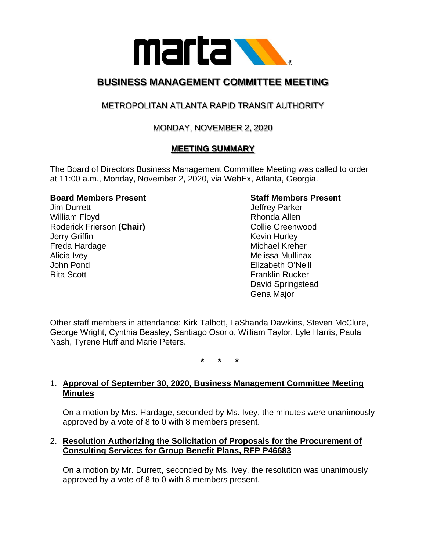

# **BUSINESS MANAGEMENT COMMITTEE MEETING**

## METROPOLITAN ATLANTA RAPID TRANSIT AUTHORITY

## MONDAY, NOVEMBER 2, 2020

## **MEETING SUMMARY**

The Board of Directors Business Management Committee Meeting was called to order at 11:00 a.m., Monday, November 2, 2020, via WebEx, Atlanta, Georgia.

#### **Board Members Present Staff Members Present**

**Jim Durrett** Jim Burrett Jeffrey Parker William Floyd **Rhonda Allen** Roderick Frierson (Chair) **Collie Greenwood Jerry Griffin** Kevin Hurley Freda Hardage **Michael Kreher** Michael Kreher Alicia Ivey **Melissa Mullinax** Nelissa Mullinax John Pond Elizabeth O'Neill Rita Scott **Franklin Rucker** 

David Springstead Gena Major

Other staff members in attendance: Kirk Talbott, LaShanda Dawkins, Steven McClure, George Wright, Cynthia Beasley, Santiago Osorio, William Taylor, Lyle Harris, Paula Nash, Tyrene Huff and Marie Peters.

**\* \* \***

#### 1. **Approval of September 30, 2020, Business Management Committee Meeting Minutes**

On a motion by Mrs. Hardage, seconded by Ms. Ivey, the minutes were unanimously approved by a vote of 8 to 0 with 8 members present.

#### 2. **Resolution Authorizing the Solicitation of Proposals for the Procurement of Consulting Services for Group Benefit Plans, RFP P46683**

On a motion by Mr. Durrett, seconded by Ms. Ivey, the resolution was unanimously approved by a vote of 8 to 0 with 8 members present.